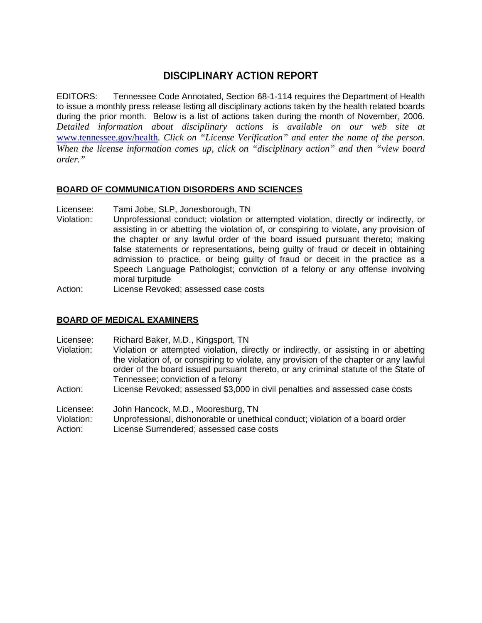# **DISCIPLINARY ACTION REPORT**

EDITORS: Tennessee Code Annotated, Section 68-1-114 requires the Department of Health to issue a monthly press release listing all disciplinary actions taken by the health related boards during the prior month. Below is a list of actions taken during the month of November, 2006. *Detailed information about disciplinary actions is available on our web site at*  www.tennessee.gov/health*. Click on "License Verification" and enter the name of the person. When the license information comes up, click on "disciplinary action" and then "view board order."* 

# **BOARD OF COMMUNICATION DISORDERS AND SCIENCES**

- Licensee: Tami Jobe, SLP, Jonesborough, TN
- Violation: Unprofessional conduct; violation or attempted violation, directly or indirectly, or assisting in or abetting the violation of, or conspiring to violate, any provision of the chapter or any lawful order of the board issued pursuant thereto; making false statements or representations, being guilty of fraud or deceit in obtaining admission to practice, or being guilty of fraud or deceit in the practice as a Speech Language Pathologist; conviction of a felony or any offense involving moral turpitude
- Action: License Revoked; assessed case costs

# **BOARD OF MEDICAL EXAMINERS**

- Licensee: Richard Baker, M.D., Kingsport, TN
- Violation: Violation or attempted violation, directly or indirectly, or assisting in or abetting the violation of, or conspiring to violate, any provision of the chapter or any lawful order of the board issued pursuant thereto, or any criminal statute of the State of Tennessee; conviction of a felony
- Action: License Revoked; assessed \$3,000 in civil penalties and assessed case costs

Licensee: John Hancock, M.D., Mooresburg, TN

Violation: Unprofessional, dishonorable or unethical conduct; violation of a board order

Action: License Surrendered; assessed case costs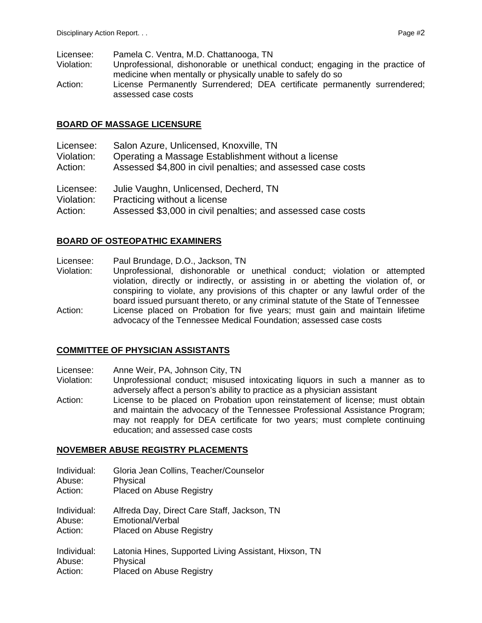- Licensee: Pamela C. Ventra, M.D. Chattanooga, TN
- Violation: Unprofessional, dishonorable or unethical conduct; engaging in the practice of medicine when mentally or physically unable to safely do so

Action: License Permanently Surrendered; DEA certificate permanently surrendered; assessed case costs

### **BOARD OF MASSAGE LICENSURE**

| Licensee:  | Salon Azure, Unlicensed, Knoxville, TN                       |
|------------|--------------------------------------------------------------|
| Violation: | Operating a Massage Establishment without a license          |
| Action:    | Assessed \$4,800 in civil penalties; and assessed case costs |
| Licensee:  | Julie Vaughn, Unlicensed, Decherd, TN                        |
| Violation: | Practicing without a license                                 |
| Action:    | Assessed \$3,000 in civil penalties; and assessed case costs |

# **BOARD OF OSTEOPATHIC EXAMINERS**

- Licensee: Paul Brundage, D.O., Jackson, TN
- Violation: Unprofessional, dishonorable or unethical conduct; violation or attempted violation, directly or indirectly, or assisting in or abetting the violation of, or conspiring to violate, any provisions of this chapter or any lawful order of the board issued pursuant thereto, or any criminal statute of the State of Tennessee Action: License placed on Probation for five years; must gain and maintain lifetime advocacy of the Tennessee Medical Foundation; assessed case costs

# **COMMITTEE OF PHYSICIAN ASSISTANTS**

- Licensee: Anne Weir, PA, Johnson City, TN
- Violation: Unprofessional conduct; misused intoxicating liquors in such a manner as to adversely affect a person's ability to practice as a physician assistant
- Action: License to be placed on Probation upon reinstatement of license; must obtain and maintain the advocacy of the Tennessee Professional Assistance Program; may not reapply for DEA certificate for two years; must complete continuing education; and assessed case costs

# **NOVEMBER ABUSE REGISTRY PLACEMENTS**

| Individual: |  | Gloria Jean Collins, Teacher/Counselor |
|-------------|--|----------------------------------------|
|-------------|--|----------------------------------------|

- Abuse: Physical
- Action: Placed on Abuse Registry

Individual: Alfreda Day, Direct Care Staff, Jackson, TN Abuse: Emotional/Verbal

- Action: Placed on Abuse Registry
- Individual: Latonia Hines, Supported Living Assistant, Hixson, TN Abuse: Physical Action: Placed on Abuse Registry